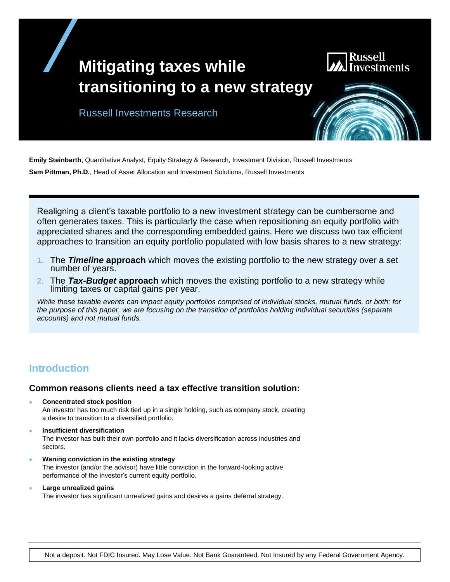# **Mitigating taxes while transitioning to a new strategy**



Russell Investments Research

**Emily Steinbarth**, Quantitative Analyst, Equity Strategy & Research, Investment Division, Russell Investments **Sam Pittman, Ph.D.**, Head of Asset Allocation and Investment Solutions, Russell Investments

Realigning a client's taxable portfolio to a new investment strategy can be cumbersome and often generates taxes. This is particularly the case when repositioning an equity portfolio with appreciated shares and the corresponding embedded gains. Here we discuss two tax efficient approaches to transition an equity portfolio populated with low basis shares to a new strategy:

- **1.** The *Timeline* **approach** which moves the existing portfolio to the new strategy over a set number of years.
- **2.** The *Tax-Budget* **approach** which moves the existing portfolio to a new strategy while limiting taxes or capital gains per year.

*While these taxable events can impact equity portfolios comprised of individual stocks, mutual funds, or both; for the purpose of this paper, we are focusing on the transition of portfolios holding individual securities (separate accounts) and not mutual funds.*

## **Introduction**

### **Common reasons clients need a tax effective transition solution:**

- **Concentrated stock position** An investor has too much risk tied up in a single holding, such as company stock, creating a desire to transition to a diversified portfolio.
- **Insufficient diversification** The investor has built their own portfolio and it lacks diversification across industries and sectors.
- **Waning conviction in the existing strategy** The investor (and/or the advisor) have little conviction in the forward-looking active performance of the investor's current equity portfolio.
- **Large unrealized gains** The investor has significant unrealized gains and desires a gains deferral strategy.

Not a deposit. Not FDIC Insured. May Lose Value. Not Bank Guaranteed. Not Insured by any Federal Government Agency.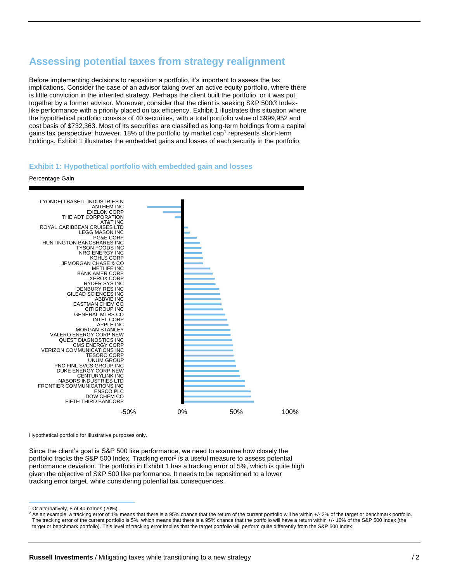## **Assessing potential taxes from strategy realignment**

Before implementing decisions to reposition a portfolio, it's important to assess the tax implications. Consider the case of an advisor taking over an active equity portfolio, where there is little conviction in the inherited strategy. Perhaps the client built the portfolio, or it was put together by a former advisor. Moreover, consider that the client is seeking S&P 500® Indexlike performance with a priority placed on tax efficiency. Exhibit 1 illustrates this situation where the hypothetical portfolio consists of 40 securities, with a total portfolio value of \$999,952 and cost basis of \$732,363. Most of its securities are classified as long-term holdings from a capital gains tax perspective; however, 18% of the portfolio by market cap<sup>1</sup> represents short-term holdings. Exhibit 1 illustrates the embedded gains and losses of each security in the portfolio.

#### **Exhibit 1: Hypothetical portfolio with embedded gain and losses**

Percentage Gain



Hypothetical portfolio for illustrative purposes only.

Since the client's goal is S&P 500 like performance, we need to examine how closely the portfolio tracks the S&P 500 Index. Tracking error<sup>2</sup> is a useful measure to assess potential performance deviation. The portfolio in Exhibit 1 has a tracking error of 5%, which is quite high given the objective of S&P 500 like performance. It needs to be repositioned to a lower tracking error target, while considering potential tax consequences.

<sup>1</sup> Or alternatively, 8 of 40 names (20%).

 $^2$  As an example, a tracking error of 1% means that there is a 95% chance that the return of the current portfolio will be within +/- 2% of the target or benchmark portfolio. The tracking error of the current portfolio is 5%, which means that there is a 95% chance that the portfolio will have a return within +/- 10% of the S&P 500 Index (the target or benchmark portfolio). This level of tracking error implies that the target portfolio will perform quite differently from the S&P 500 Index.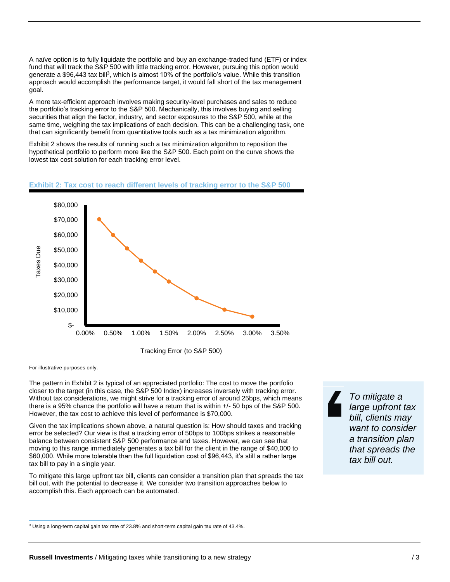A naïve option is to fully liquidate the portfolio and buy an exchange-traded fund (ETF) or index fund that will track the S&P 500 with little tracking error. However, pursuing this option would generate a \$96,443 tax bill<sup>3</sup>, which is almost 10% of the portfolio's value. While this transition approach would accomplish the performance target, it would fall short of the tax management goal.

A more tax-efficient approach involves making security-level purchases and sales to reduce the portfolio's tracking error to the S&P 500. Mechanically, this involves buying and selling securities that align the factor, industry, and sector exposures to the S&P 500, while at the same time, weighing the tax implications of each decision. This can be a challenging task, one that can significantly benefit from quantitative tools such as a tax minimization algorithm.

Exhibit 2 shows the results of running such a tax minimization algorithm to reposition the hypothetical portfolio to perform more like the S&P 500. Each point on the curve shows the lowest tax cost solution for each tracking error level.

#### **Exhibit 2: Tax cost to reach different levels of tracking error to the S&P 500**



Tracking Error (to S&P 500)

For illustrative purposes only.

The pattern in Exhibit 2 is typical of an appreciated portfolio: The cost to move the portfolio closer to the target (in this case, the S&P 500 Index) increases inversely with tracking error. Without tax considerations, we might strive for a tracking error of around 25bps, which means there is a 95% chance the portfolio will have a return that is within +/- 50 bps of the S&P 500. However, the tax cost to achieve this level of performance is \$70,000.

Given the tax implications shown above, a natural question is: How should taxes and tracking error be selected? Our view is that a tracking error of 50bps to 100bps strikes a reasonable balance between consistent S&P 500 performance and taxes. However, we can see that moving to this range immediately generates a tax bill for the client in the range of \$40,000 to \$60,000. While more tolerable than the full liquidation cost of \$96,443, it's still a rather large tax bill to pay in a single year.

To mitigate this large upfront tax bill, clients can consider a transition plan that spreads the tax bill out, with the potential to decrease it. We consider two transition approaches below to accomplish this. Each approach can be automated.

*To mitigate a large upfront tax bill, clients may want to consider a transition plan that spreads the tax bill out.*

<sup>3</sup> Using a long-term capital gain tax rate of 23.8% and short-term capital gain tax rate of 43.4%.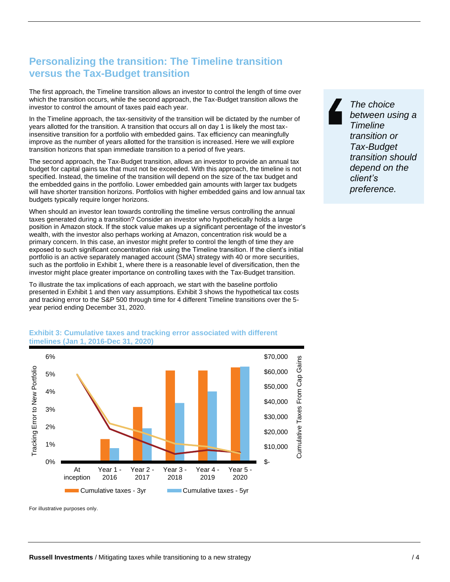# **Personalizing the transition: The Timeline transition versus the Tax-Budget transition**

The first approach, the Timeline transition allows an investor to control the length of time over which the transition occurs, while the second approach, the Tax-Budget transition allows the investor to control the amount of taxes paid each year.

In the Timeline approach, the tax-sensitivity of the transition will be dictated by the number of years allotted for the transition. A transition that occurs all on day 1 is likely the most taxinsensitive transition for a portfolio with embedded gains. Tax efficiency can meaningfully improve as the number of years allotted for the transition is increased. Here we will explore transition horizons that span immediate transition to a period of five years.

The second approach, the Tax-Budget transition, allows an investor to provide an annual tax budget for capital gains tax that must not be exceeded. With this approach, the timeline is not specified. Instead, the timeline of the transition will depend on the size of the tax budget and the embedded gains in the portfolio. Lower embedded gain amounts with larger tax budgets will have shorter transition horizons. Portfolios with higher embedded gains and low annual tax budgets typically require longer horizons.

When should an investor lean towards controlling the timeline versus controlling the annual taxes generated during a transition? Consider an investor who hypothetically holds a large position in Amazon stock. If the stock value makes up a significant percentage of the investor's wealth, with the investor also perhaps working at Amazon, concentration risk would be a primary concern. In this case, an investor might prefer to control the length of time they are exposed to such significant concentration risk using the Timeline transition. If the client's initial portfolio is an active separately managed account (SMA) strategy with 40 or more securities, such as the portfolio in Exhibit 1, where there is a reasonable level of diversification, then the investor might place greater importance on controlling taxes with the Tax-Budget transition.

To illustrate the tax implications of each approach, we start with the baseline portfolio presented in Exhibit 1 and then vary assumptions. Exhibit 3 shows the hypothetical tax costs and tracking error to the S&P 500 through time for 4 different Timeline transitions over the 5 year period ending December 31, 2020.



#### **Exhibit 3: Cumulative taxes and tracking error associated with different timelines (Jan 1, 2016-Dec 31, 2020)**

For illustrative purposes only.

*The choice between using a Timeline transition or Tax-Budget transition should depend on the client's preference.*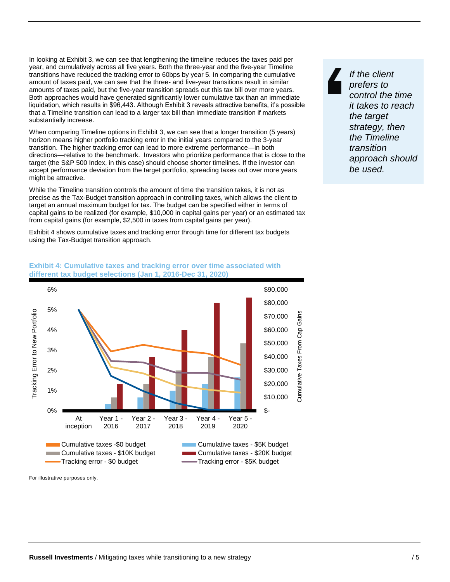In looking at Exhibit 3, we can see that lengthening the timeline reduces the taxes paid per year, and cumulatively across all five years. Both the three-year and the five-year Timeline transitions have reduced the tracking error to 60bps by year 5. In comparing the cumulative amount of taxes paid, we can see that the three- and five-year transitions result in similar amounts of taxes paid, but the five-year transition spreads out this tax bill over more years. Both approaches would have generated significantly lower cumulative tax than an immediate liquidation, which results in \$96,443. Although Exhibit 3 reveals attractive benefits, it's possible that a Timeline transition can lead to a larger tax bill than immediate transition if markets substantially increase.

When comparing Timeline options in Exhibit 3, we can see that a longer transition (5 years) horizon means higher portfolio tracking error in the initial years compared to the 3-year transition. The higher tracking error can lead to more extreme performance—in both directions—relative to the benchmark. Investors who prioritize performance that is close to the target (the S&P 500 Index, in this case) should choose shorter timelines. If the investor can accept performance deviation from the target portfolio, spreading taxes out over more years might be attractive.

While the Timeline transition controls the amount of time the transition takes, it is not as precise as the Tax-Budget transition approach in controlling taxes, which allows the client to target an annual maximum budget for tax. The budget can be specified either in terms of capital gains to be realized (for example, \$10,000 in capital gains per year) or an estimated tax from capital gains (for example, \$2,500 in taxes from capital gains per year).

Exhibit 4 shows cumulative taxes and tracking error through time for different tax budgets using the Tax-Budget transition approach.



#### **Exhibit 4: Cumulative taxes and tracking error over time associated with different tax budget selections (Jan 1, 2016-Dec 31, 2020)**

For illustrative purposes only.

*If the client prefers to control the time it takes to reach the target strategy, then the Timeline transition approach should be used.*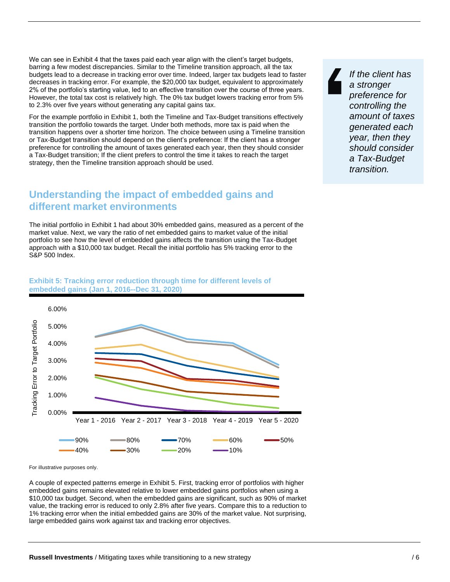We can see in Exhibit 4 that the taxes paid each year align with the client's target budgets, barring a few modest discrepancies. Similar to the Timeline transition approach, all the tax budgets lead to a decrease in tracking error over time. Indeed, larger tax budgets lead to faster decreases in tracking error. For example, the \$20,000 tax budget, equivalent to approximately 2% of the portfolio's starting value, led to an effective transition over the course of three years. However, the total tax cost is relatively high. The 0% tax budget lowers tracking error from 5% to 2.3% over five years without generating any capital gains tax.

For the example portfolio in Exhibit 1, both the Timeline and Tax-Budget transitions effectively transition the portfolio towards the target. Under both methods, more tax is paid when the transition happens over a shorter time horizon. The choice between using a Timeline transition or Tax-Budget transition should depend on the client's preference: If the client has a stronger preference for controlling the amount of taxes generated each year, then they should consider a Tax-Budget transition; If the client prefers to control the time it takes to reach the target strategy, then the Timeline transition approach should be used.

# **Understanding the impact of embedded gains and different market environments**

The initial portfolio in Exhibit 1 had about 30% embedded gains, measured as a percent of the market value. Next, we vary the ratio of net embedded gains to market value of the initial portfolio to see how the level of embedded gains affects the transition using the Tax-Budget approach with a \$10,000 tax budget. Recall the initial portfolio has 5% tracking error to the S&P 500 Index.



#### **Exhibit 5: Tracking error reduction through time for different levels of embedded gains (Jan 1, 2016--Dec 31, 2020)**

For illustrative purposes only.

A couple of expected patterns emerge in Exhibit 5. First, tracking error of portfolios with higher embedded gains remains elevated relative to lower embedded gains portfolios when using a \$10,000 tax budget. Second, when the embedded gains are significant, such as 90% of market value, the tracking error is reduced to only 2.8% after five years. Compare this to a reduction to 1% tracking error when the initial embedded gains are 30% of the market value. Not surprising, large embedded gains work against tax and tracking error objectives.

*If the client has a stronger preference for controlling the amount of taxes generated each year, then they should consider a Tax-Budget transition.*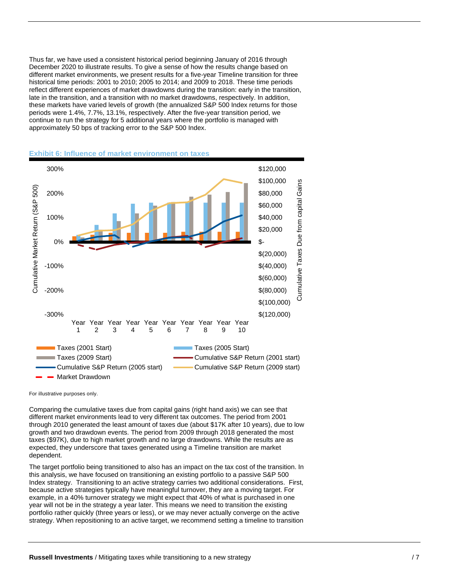Thus far, we have used a consistent historical period beginning January of 2016 through December 2020 to illustrate results. To give a sense of how the results change based on different market environments, we present results for a five-year Timeline transition for three historical time periods: 2001 to 2010; 2005 to 2014; and 2009 to 2018. These time periods reflect different experiences of market drawdowns during the transition: early in the transition, late in the transition, and a transition with no market drawdowns, respectively. In addition, these markets have varied levels of growth (the annualized S&P 500 Index returns for those periods were 1.4%, 7.7%, 13.1%, respectively. After the five-year transition period, we continue to run the strategy for 5 additional years where the portfolio is managed with approximately 50 bps of tracking error to the S&P 500 Index.





For illustrative purposes only.

Comparing the cumulative taxes due from capital gains (right hand axis) we can see that different market environments lead to very different tax outcomes. The period from 2001 through 2010 generated the least amount of taxes due (about \$17K after 10 years), due to low growth and two drawdown events. The period from 2009 through 2018 generated the most taxes (\$97K), due to high market growth and no large drawdowns. While the results are as expected, they underscore that taxes generated using a Timeline transition are market dependent.

The target portfolio being transitioned to also has an impact on the tax cost of the transition. In this analysis, we have focused on transitioning an existing portfolio to a passive S&P 500 Index strategy. Transitioning to an active strategy carries two additional considerations. First, because active strategies typically have meaningful turnover, they are a moving target. For example, in a 40% turnover strategy we might expect that 40% of what is purchased in one year will not be in the strategy a year later. This means we need to transition the existing portfolio rather quickly (three years or less), or we may never actually converge on the active strategy. When repositioning to an active target, we recommend setting a timeline to transition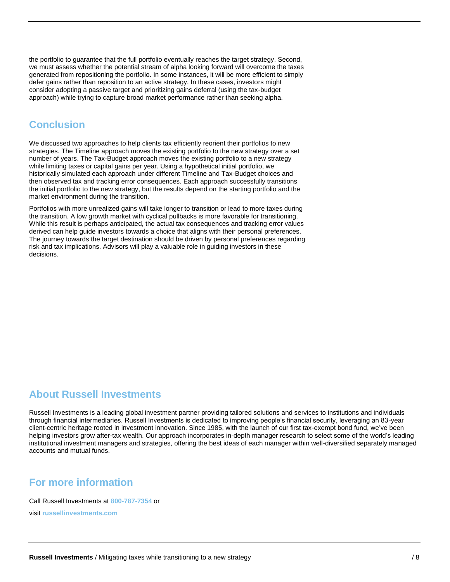the portfolio to guarantee that the full portfolio eventually reaches the target strategy. Second, we must assess whether the potential stream of alpha looking forward will overcome the taxes generated from repositioning the portfolio. In some instances, it will be more efficient to simply defer gains rather than reposition to an active strategy. In these cases, investors might consider adopting a passive target and prioritizing gains deferral (using the tax-budget approach) while trying to capture broad market performance rather than seeking alpha.

### **Conclusion**

We discussed two approaches to help clients tax efficiently reorient their portfolios to new strategies. The Timeline approach moves the existing portfolio to the new strategy over a set number of years. The Tax-Budget approach moves the existing portfolio to a new strategy while limiting taxes or capital gains per year. Using a hypothetical initial portfolio, we historically simulated each approach under different Timeline and Tax-Budget choices and then observed tax and tracking error consequences. Each approach successfully transitions the initial portfolio to the new strategy, but the results depend on the starting portfolio and the market environment during the transition.

Portfolios with more unrealized gains will take longer to transition or lead to more taxes during the transition. A low growth market with cyclical pullbacks is more favorable for transitioning. While this result is perhaps anticipated, the actual tax consequences and tracking error values derived can help guide investors towards a choice that aligns with their personal preferences. The journey towards the target destination should be driven by personal preferences regarding risk and tax implications. Advisors will play a valuable role in guiding investors in these decisions.

## **About Russell Investments**

Russell Investments is a leading global investment partner providing tailored solutions and services to institutions and individuals through financial intermediaries. Russell Investments is dedicated to improving people's financial security, leveraging an 83-year client-centric heritage rooted in investment innovation. Since 1985, with the launch of our first tax-exempt bond fund, we've been helping investors grow after-tax wealth. Our approach incorporates in-depth manager research to select some of the world's leading institutional investment managers and strategies, offering the best ideas of each manager within well-diversified separately managed accounts and mutual funds.

### **For more information**

Call Russell Investments at **800-787-7354** or

visit **[russellinvestments.com](http://www.russellinvestments.com/)**